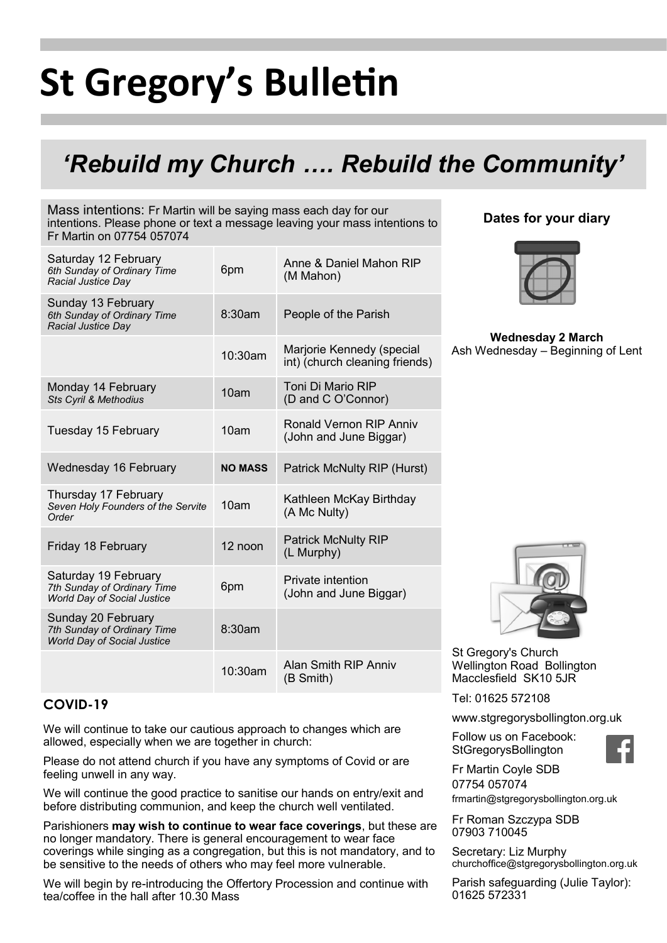# **St Gregory's Bulletin**

### *'Rebuild my Church …. Rebuild the Community'*

Mass intentions: Fr Martin will be saying mass each day for our intentions. Please phone or text a message leaving your mass intentions to Fr Martin on 07754 057074

| Saturday 12 February<br>6th Sunday of Ordinary Time<br>Racial Justice Day                 | 6pm              | Anne & Daniel Mahon RIP<br>(M Mahon)                        |
|-------------------------------------------------------------------------------------------|------------------|-------------------------------------------------------------|
| Sunday 13 February<br>6th Sunday of Ordinary Time<br><b>Racial Justice Day</b>            | 8:30am           | People of the Parish                                        |
|                                                                                           | 10:30am          | Marjorie Kennedy (special<br>int) (church cleaning friends) |
| Monday 14 February<br>Sts Cyril & Methodius                                               | 10 <sub>am</sub> | Toni Di Mario RIP<br>(D and C O'Connor)                     |
| Tuesday 15 February                                                                       | 10 <sub>am</sub> | Ronald Vernon RIP Anniv<br>(John and June Biggar)           |
| Wednesday 16 February                                                                     | <b>NO MASS</b>   | <b>Patrick McNulty RIP (Hurst)</b>                          |
| Thursday 17 February<br>Seven Holy Founders of the Servite<br>Order                       | 10am             | Kathleen McKay Birthday<br>(A Mc Nulty)                     |
| Friday 18 February                                                                        | 12 noon          | <b>Patrick McNulty RIP</b><br>(L Murphy)                    |
| Saturday 19 February<br>7th Sunday of Ordinary Time<br><b>World Day of Social Justice</b> | 6pm              | Private intention<br>(John and June Biggar)                 |
| Sunday 20 February<br>7th Sunday of Ordinary Time<br><b>World Day of Social Justice</b>   | 8:30am           |                                                             |
|                                                                                           | 10:30am          | Alan Smith RIP Anniv<br>(B Smith)                           |

#### **Dates for your diary**



**Wednesday 2 March**  Ash Wednesday – Beginning of Lent

St Gregory's Church Wellington Road Bollington Macclesfield SK10 5JR

Tel: 01625 572108

**StGregorysBollington** 

www.stgregorysbollington.org.uk

Follow us on Facebook:



Fr Martin Coyle SDB 07754 057074 frmartin@stgregorysbollington.org.uk

Fr Roman Szczypa SDB 07903 710045

Secretary: Liz Murphy churchoffice@stgregorysbollington.org.uk

Parish safeguarding (Julie Taylor): 01625 572331

#### **COVID-19**

We will continue to take our cautious approach to changes which are allowed, especially when we are together in church:

Please do not attend church if you have any symptoms of Covid or are feeling unwell in any way.

We will continue the good practice to sanitise our hands on entry/exit and before distributing communion, and keep the church well ventilated.

Parishioners **may wish to continue to wear face coverings**, but these are no longer mandatory. There is general encouragement to wear face coverings while singing as a congregation, but this is not mandatory, and to be sensitive to the needs of others who may feel more vulnerable.

We will begin by re-introducing the Offertory Procession and continue with tea/coffee in the hall after 10.30 Mass